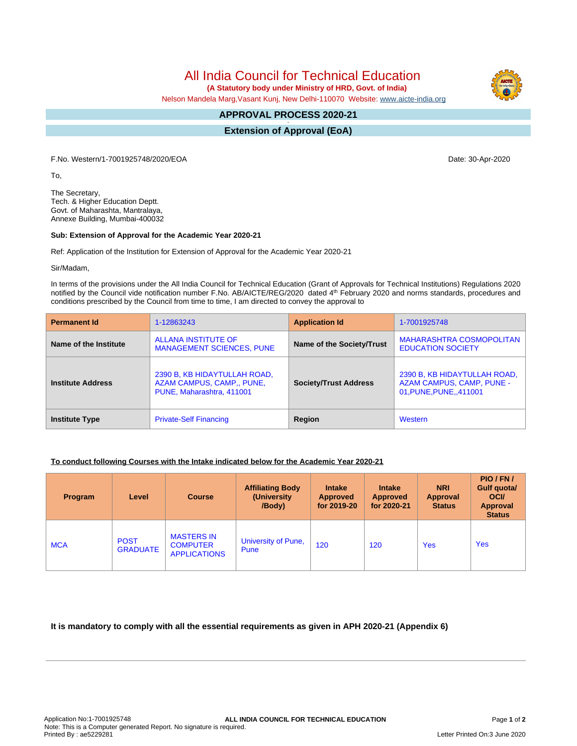All India Council for Technical Education

 **(A Statutory body under Ministry of HRD, Govt. of India)**

Nelson Mandela Marg,Vasant Kunj, New Delhi-110070 Website: [www.aicte-india.org](http://www.aicte-india.org)

#### **APPROVAL PROCESS 2020-21 -**

**Extension of Approval (EoA)**

F.No. Western/1-7001925748/2020/EOA Date: 30-Apr-2020

To,

The Secretary, Tech. & Higher Education Deptt. Govt. of Maharashta, Mantralaya, Annexe Building, Mumbai-400032

#### **Sub: Extension of Approval for the Academic Year 2020-21**

Ref: Application of the Institution for Extension of Approval for the Academic Year 2020-21

Sir/Madam,

In terms of the provisions under the All India Council for Technical Education (Grant of Approvals for Technical Institutions) Regulations 2020 notified by the Council vide notification number F.No. AB/AICTE/REG/2020 dated 4<sup>th</sup> February 2020 and norms standards, procedures and conditions prescribed by the Council from time to time, I am directed to convey the approval to

| <b>Permanent Id</b>      | 1-12863243                                                                             | <b>Application Id</b>        | 1-7001925748                                                                        |  |
|--------------------------|----------------------------------------------------------------------------------------|------------------------------|-------------------------------------------------------------------------------------|--|
| Name of the Institute    | <b>ALLANA INSTITUTE OF</b><br><b>MANAGEMENT SCIENCES, PUNE</b>                         | Name of the Society/Trust    | MAHARASHTRA COSMOPOLITAN<br><b>EDUCATION SOCIETY</b>                                |  |
| <b>Institute Address</b> | 2390 B, KB HIDAYTULLAH ROAD,<br>AZAM CAMPUS, CAMP., PUNE,<br>PUNE, Maharashtra, 411001 | <b>Society/Trust Address</b> | 2390 B, KB HIDAYTULLAH ROAD,<br>AZAM CAMPUS, CAMP, PUNE -<br>01, PUNE, PUNE, 411001 |  |
| <b>Institute Type</b>    | <b>Private-Self Financing</b>                                                          | Region                       | Western                                                                             |  |

### **To conduct following Courses with the Intake indicated below for the Academic Year 2020-21**

| Program    | Level                          | <b>Course</b>                                               | <b>Affiliating Body</b><br>(University)<br>/Body) | <b>Intake</b><br><b>Approved</b><br>for 2019-20 | <b>Intake</b><br>Approved<br>for 2020-21 | <b>NRI</b><br>Approval<br><b>Status</b> | PIO/FN/<br><b>Gulf quotal</b><br><b>OCI</b><br><b>Approval</b><br><b>Status</b> |
|------------|--------------------------------|-------------------------------------------------------------|---------------------------------------------------|-------------------------------------------------|------------------------------------------|-----------------------------------------|---------------------------------------------------------------------------------|
| <b>MCA</b> | <b>POST</b><br><b>GRADUATE</b> | <b>MASTERS IN</b><br><b>COMPUTER</b><br><b>APPLICATIONS</b> | University of Pune,<br>Pune                       | 120                                             | 120                                      | <b>Yes</b>                              | <b>Yes</b>                                                                      |

## **It is mandatory to comply with all the essential requirements as given in APH 2020-21 (Appendix 6)**